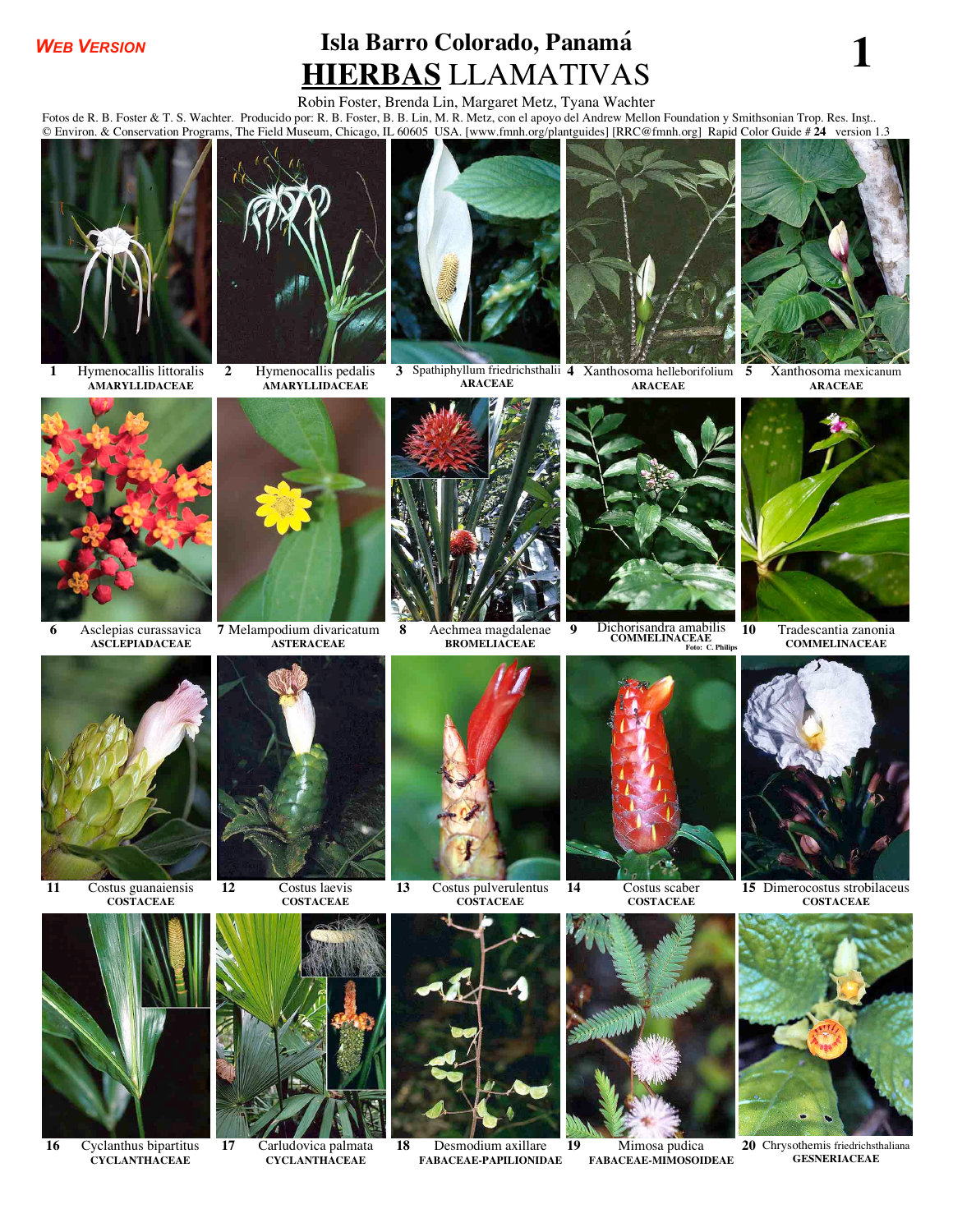## *WEB VERSION*

## **Isla Barro Colorado, Panamá HIERBAS** LLAMATIVAS **<sup>1</sup>**

## Robin Foster, Brenda Lin, Margaret Metz, Tyana Wachter

Fotos de R. B. Foster & T. S. Wachter. Producido por: R. B. Foster, B. B. Lin, M. R. Metz, con el apoyo del Andrew Mellon Foundation y Smithsonian Trop. Res. Inst.. © Environ. & Conservation Programs, The Field Museum, Chicago, IL 60605 USA. [www.fmnh.org/plantguides] [RRC@fmnh.org] Rapid Color Guide # **24** versión 1.3



**1** Hymenocallis littoralis **AMARYLLIDACEAE**



**2** Hymenocallis pedalis **AMARYLLIDACEAE**



**3** Spathiphyllum friedrichsthalii **4** Xanthosoma helleborifolium **ARACEAE**



**ARACEAE**



**5** Xanthosoma mexicanum **ARACEAE**



**6** Asclepias curassavica **ASCLEPIADACEAE**



**7** Melampodium divaricatum **ASTERACEAE**



**8** Aechmea magdalenae **BROMELIACEAE**



**9** Dichorisandra amabilis **COMMELINACEAE Foto: C. Philips**



**10** Tradescantia zanonia **COMMELINACEAE**



**11** Costus guanaiensis **COSTACEAE**

**CYCLANTHACEAE**



**COSTACEAE**



**16** Cyclanthus bipartitus **17** Carludovica palmata **CYCLANTHACEAE**



**COSTACEAE**



**18** Desmodium axillare **FABACEAE-PAPILIONIDAE**



**14** Costus scaber **COSTACEAE**



**19** Mimosa pudica **FABACEAE-MIMOSOIDEAE**



**15** Dimerocostus strobilaceus **COSTACEAE**



**20** Chrysothemis friedrichsthaliana **GESNERIACEAE**